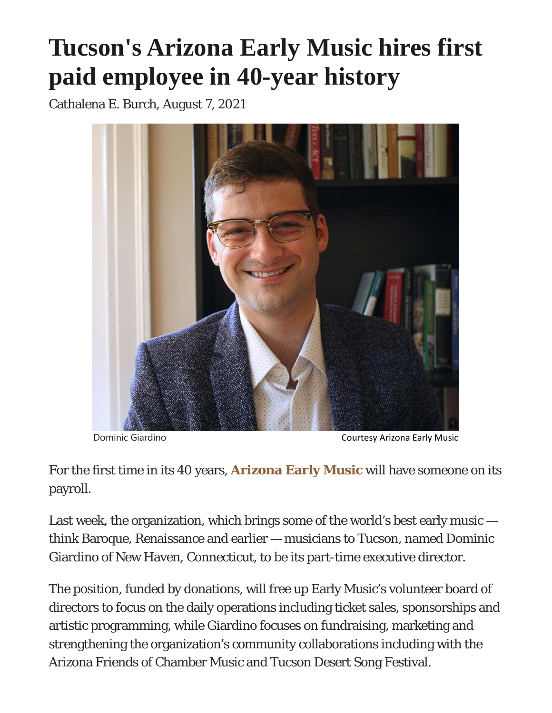## **Tucson's Arizona Early Music hires first paid employee in 40-year history**

Cathalena E. Burch, August 7, 2021



For the first time in its 40 years, **[Arizona Early Music](https://azearlymusic.org/)** will have someone on its payroll.

Last week, the organization, which brings some of the world's best early music  $$ think Baroque, Renaissance and earlier — musicians to Tucson, named Dominic Giardino of New Haven, Connecticut, to be its part-time executive director.

The position, funded by donations, will free up Early Music's volunteer board of directors to focus on the daily operations including ticket sales, sponsorships and artistic programming, while Giardino focuses on fundraising, marketing and strengthening the organization's community collaborations including with the Arizona Friends of Chamber Music and Tucson Desert Song Festival.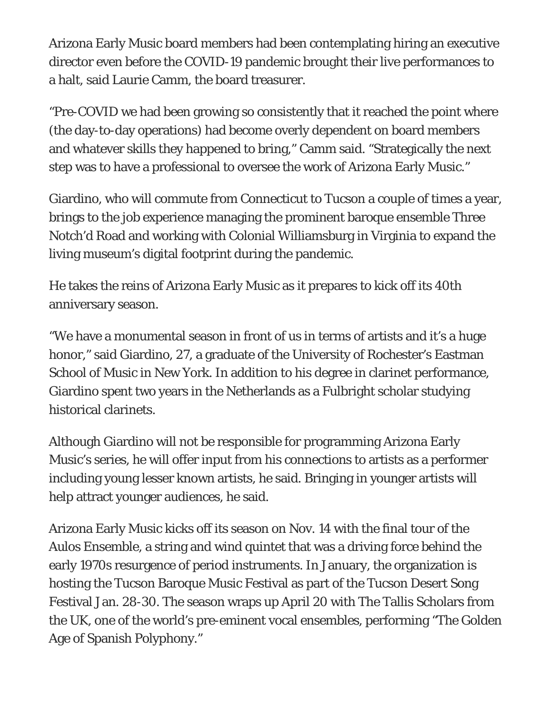Arizona Early Music board members had been contemplating hiring an executive director even before the COVID-19 pandemic brought their live performances to a halt, said Laurie Camm, the board treasurer.

"Pre-COVID we had been growing so consistently that it reached the point where (the day-to-day operations) had become overly dependent on board members and whatever skills they happened to bring," Camm said. "Strategically the next step was to have a professional to oversee the work of Arizona Early Music."

Giardino, who will commute from Connecticut to Tucson a couple of times a year, brings to the job experience managing the prominent baroque ensemble Three Notch'd Road and working with Colonial Williamsburg in Virginia to expand the living museum's digital footprint during the pandemic.

He takes the reins of Arizona Early Music as it prepares to kick off its 40th anniversary season.

"We have a monumental season in front of us in terms of artists and it's a huge honor," said Giardino, 27, a graduate of the University of Rochester's Eastman School of Music in New York. In addition to his degree in clarinet performance, Giardino spent two years in the Netherlands as a Fulbright scholar studying historical clarinets.

Although Giardino will not be responsible for programming Arizona Early Music's series, he will offer input from his connections to artists as a performer including young lesser known artists, he said. Bringing in younger artists will help attract younger audiences, he said.

Arizona Early Music kicks off its season on Nov. 14 with the final tour of the Aulos Ensemble, a string and wind quintet that was a driving force behind the early 1970s resurgence of period instruments. In January, the organization is hosting the Tucson Baroque Music Festival as part of the Tucson Desert Song Festival Jan. 28-30. The season wraps up April 20 with The Tallis Scholars from the UK, one of the world's pre-eminent vocal ensembles, performing "The Golden Age of Spanish Polyphony."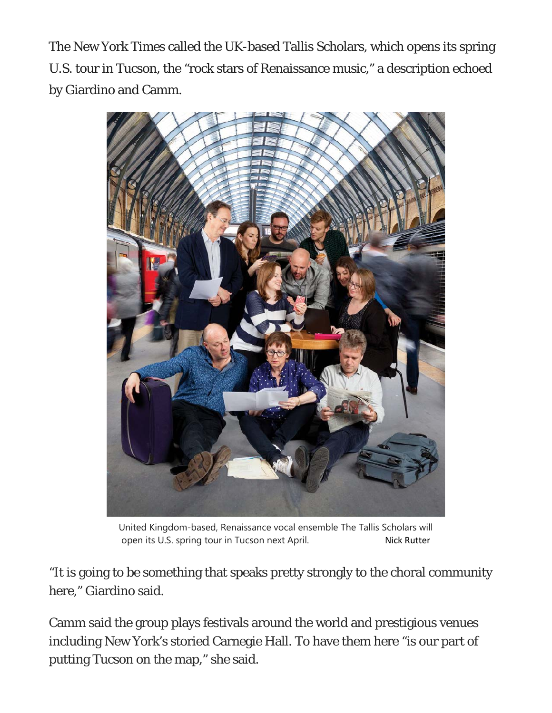The New York Times called the UK-based Tallis Scholars, which opens its spring U.S. tour in Tucson, the "rock stars of Renaissance music," a description echoed by Giardino and Camm.



United Kingdom-based, Renaissance vocal ensemble The Tallis Scholars will open its U.S. spring tour in Tucson next April. Nick Rutter

"It is going to be something that speaks pretty strongly to the choral community here," Giardino said.

Camm said the group plays festivals around the world and prestigious venues including New York's storied Carnegie Hall. To have them here "is our part of putting Tucson on the map," she said.